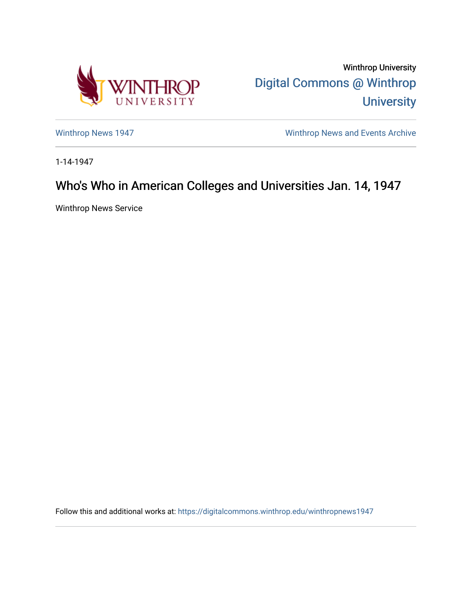

Winthrop University [Digital Commons @ Winthrop](https://digitalcommons.winthrop.edu/)  **University** 

[Winthrop News 1947](https://digitalcommons.winthrop.edu/winthropnews1947) **Winthrop News Archive** 

1-14-1947

## Who's Who in American Colleges and Universities Jan. 14, 1947

Winthrop News Service

Follow this and additional works at: [https://digitalcommons.winthrop.edu/winthropnews1947](https://digitalcommons.winthrop.edu/winthropnews1947?utm_source=digitalcommons.winthrop.edu%2Fwinthropnews1947%2F44&utm_medium=PDF&utm_campaign=PDFCoverPages)